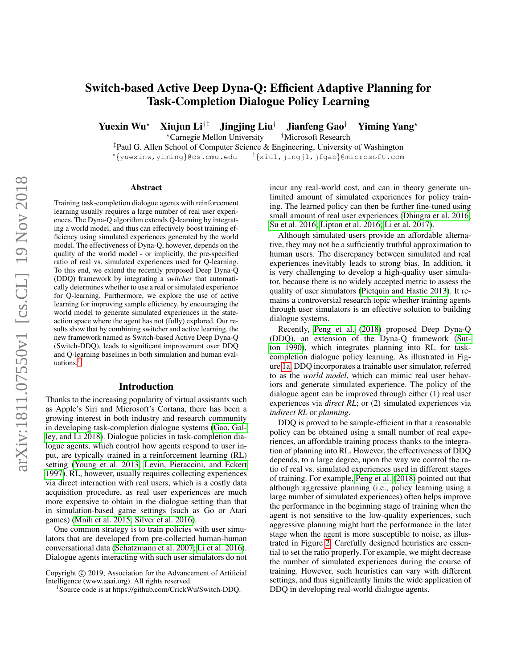# Switch-based Active Deep Dyna-Q: Efficient Adaptive Planning for Task-Completion Dialogue Policy Learning

Yuexin Wu<sup>\*</sup> Xiujun Li<sup>†‡</sup> Jingjing Liu<sup>†</sup> Jianfeng Gao<sup>†</sup> Yiming Yang<sup>\*</sup>

?Carnegie Mellon University †Microsoft Research

‡Paul G. Allen School of Computer Science & Engineering, University of Washington ? {yuexinw,yiming}@cs.cmu.edu † {xiul,jingjl,jfgao}@microsoft.com

#### Abstract

Training task-completion dialogue agents with reinforcement learning usually requires a large number of real user experiences. The Dyna-Q algorithm extends Q-learning by integrating a world model, and thus can effectively boost training efficiency using simulated experiences generated by the world model. The effectiveness of Dyna-Q, however, depends on the quality of the world model - or implicitly, the pre-specified ratio of real vs. simulated experiences used for Q-learning. To this end, we extend the recently proposed Deep Dyna-Q (DDQ) framework by integrating a *switcher* that automatically determines whether to use a real or simulated experience for Q-learning. Furthermore, we explore the use of active learning for improving sample efficiency, by encouraging the world model to generate simulated experiences in the stateaction space where the agent has not (fully) explored. Our results show that by combining switcher and active learning, the new framework named as Switch-based Active Deep Dyna-Q (Switch-DDQ), leads to significant improvement over DDQ and Q-learning baselines in both simulation and human evaluations. $<sup>1</sup>$  $<sup>1</sup>$  $<sup>1</sup>$ </sup>

#### Introduction

Thanks to the increasing popularity of virtual assistants such as Apple's Siri and Microsoft's Cortana, there has been a growing interest in both industry and research community in developing task-completion dialogue systems [\(Gao, Gal](#page-7-0)[ley, and Li 2018\)](#page-7-0). Dialogue policies in task-completion dialogue agents, which control how agents respond to user input, are typically trained in a reinforcement learning (RL) setting [\(Young et al. 2013;](#page-7-1) [Levin, Pieraccini, and Eckert](#page-7-2) [1997\)](#page-7-2). RL, however, usually requires collecting experiences via direct interaction with real users, which is a costly data acquisition procedure, as real user experiences are much more expensive to obtain in the dialogue setting than that in simulation-based game settings (such as Go or Atari games) [\(Mnih et al. 2015;](#page-7-3) [Silver et al. 2016\)](#page-7-4).

One common strategy is to train policies with user simulators that are developed from pre-collected human-human conversational data [\(Schatzmann et al. 2007;](#page-7-5) [Li et al. 2016\)](#page-7-6). Dialogue agents interacting with such user simulators do not incur any real-world cost, and can in theory generate unlimited amount of simulated experiences for policy training. The learned policy can then be further fine-tuned using small amount of real user experiences [\(Dhingra et al. 2016;](#page-7-7) [Su et al. 2016;](#page-7-8) [Lipton et al. 2016;](#page-7-9) [Li et al. 2017\)](#page-7-10).

Although simulated users provide an affordable alternative, they may not be a sufficiently truthful approximation to human users. The discrepancy between simulated and real experiences inevitably leads to strong bias. In addition, it is very challenging to develop a high-quality user simulator, because there is no widely accepted metric to assess the quality of user simulators [\(Pietquin and Hastie 2013\)](#page-7-11). It remains a controversial research topic whether training agents through user simulators is an effective solution to building dialogue systems.

Recently, [Peng et al.](#page-7-12) [\(2018\)](#page-7-12) proposed Deep Dyna-Q (DDQ), an extension of the Dyna-Q framework [\(Sut](#page-7-13)[ton 1990\)](#page-7-13), which integrates planning into RL for taskcompletion dialogue policy learning. As illustrated in Figure [1a,](#page-1-0) DDQ incorporates a trainable user simulator, referred to as the *world model*, which can mimic real user behaviors and generate simulated experience. The policy of the dialogue agent can be improved through either (1) real user experiences via *direct RL*; or (2) simulated experiences via *indirect RL* or *planning*.

DDQ is proved to be sample-efficient in that a reasonable policy can be obtained using a small number of real experiences, an affordable training process thanks to the integration of planning into RL. However, the effectiveness of DDQ depends, to a large degree, upon the way we control the ratio of real vs. simulated experiences used in different stages of training. For example, [Peng et al.](#page-7-12) [\(2018\)](#page-7-12) pointed out that although aggressive planning (i.e., policy learning using a large number of simulated experiences) often helps improve the performance in the beginning stage of training when the agent is not sensitive to the low-quality experiences, such aggressive planning might hurt the performance in the later stage when the agent is more susceptible to noise, as illustrated in Figure [2.](#page-1-1) Carefully designed heuristics are essential to set the ratio properly. For example, we might decrease the number of simulated experiences during the course of training. However, such heuristics can vary with different settings, and thus significantly limits the wide application of DDQ in developing real-world dialogue agents.

Copyright (c) 2019, Association for the Advancement of Artificial Intelligence (www.aaai.org). All rights reserved.

<span id="page-0-0"></span><sup>1</sup> Source code is at https://github.com/CrickWu/Switch-DDQ.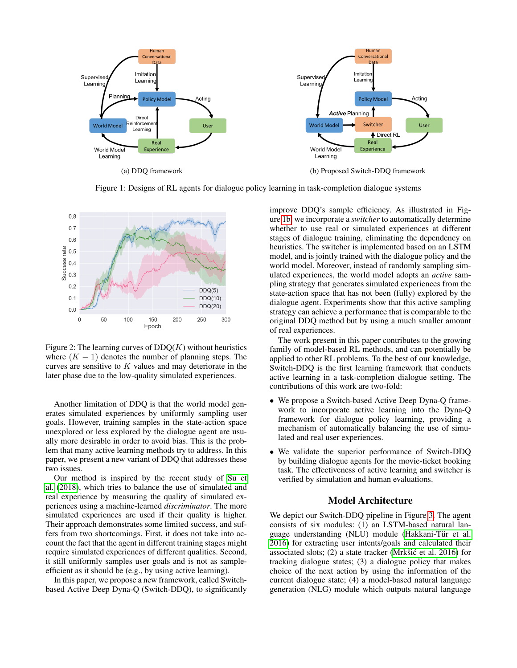<span id="page-1-0"></span>

Figure 1: Designs of RL agents for dialogue policy learning in task-completion dialogue systems

<span id="page-1-1"></span>

Figure 2: The learning curves of  $DDQ(K)$  without heuristics where  $(K - 1)$  denotes the number of planning steps. The curves are sensitive to  $K$  values and may deteriorate in the later phase due to the low-quality simulated experiences.

Another limitation of DDQ is that the world model generates simulated experiences by uniformly sampling user goals. However, training samples in the state-action space unexplored or less explored by the dialogue agent are usually more desirable in order to avoid bias. This is the problem that many active learning methods try to address. In this paper, we present a new variant of DDQ that addresses these two issues.

Our method is inspired by the recent study of [Su et](#page-7-14) [al.](#page-7-14) [\(2018\)](#page-7-14), which tries to balance the use of simulated and real experience by measuring the quality of simulated experiences using a machine-learned *discriminator*. The more simulated experiences are used if their quality is higher. Their approach demonstrates some limited success, and suffers from two shortcomings. First, it does not take into account the fact that the agent in different training stages might require simulated experiences of different qualities. Second, it still uniformly samples user goals and is not as sampleefficient as it should be (e.g., by using active learning).

In this paper, we propose a new framework, called Switchbased Active Deep Dyna-Q (Switch-DDQ), to significantly improve DDQ's sample efficiency. As illustrated in Figure [1b,](#page-1-0) we incorporate a *switcher* to automatically determine whether to use real or simulated experiences at different stages of dialogue training, eliminating the dependency on heuristics. The switcher is implemented based on an LSTM model, and is jointly trained with the dialogue policy and the world model. Moreover, instead of randomly sampling simulated experiences, the world model adopts an *active* sampling strategy that generates simulated experiences from the state-action space that has not been (fully) explored by the dialogue agent. Experiments show that this active sampling strategy can achieve a performance that is comparable to the original DDQ method but by using a much smaller amount of real experiences.

The work present in this paper contributes to the growing family of model-based RL methods, and can potentially be applied to other RL problems. To the best of our knowledge, Switch-DDQ is the first learning framework that conducts active learning in a task-completion dialogue setting. The contributions of this work are two-fold:

- We propose a Switch-based Active Deep Dyna-Q framework to incorporate active learning into the Dyna-Q framework for dialogue policy learning, providing a mechanism of automatically balancing the use of simulated and real user experiences.
- We validate the superior performance of Switch-DDQ by building dialogue agents for the movie-ticket booking task. The effectiveness of active learning and switcher is verified by simulation and human evaluations.

# Model Architecture

We depict our Switch-DDQ pipeline in Figure [3.](#page-2-0) The agent consists of six modules: (1) an LSTM-based natural language understanding (NLU) module (Hakkani-Tür et al. [2016\)](#page-7-15) for extracting user intents/goals and calculated their associated slots;  $(2)$  a state tracker (Mrkšić et al. 2016) for tracking dialogue states; (3) a dialogue policy that makes choice of the next action by using the information of the current dialogue state; (4) a model-based natural language generation (NLG) module which outputs natural language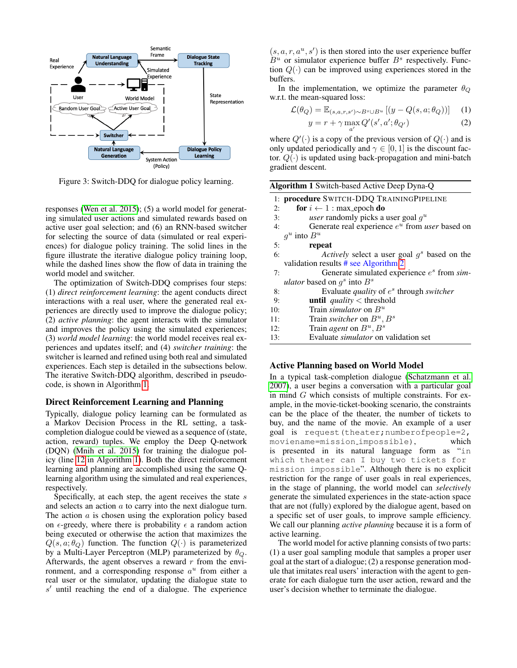<span id="page-2-0"></span>

Figure 3: Switch-DDQ for dialogue policy learning.

responses [\(Wen et al. 2015\)](#page-7-17); (5) a world model for generating simulated user actions and simulated rewards based on active user goal selection; and (6) an RNN-based switcher for selecting the source of data (simulated or real experiences) for dialogue policy training. The solid lines in the figure illustrate the iterative dialogue policy training loop, while the dashed lines show the flow of data in training the world model and switcher.

The optimization of Switch-DDQ comprises four steps: (1) *direct reinforcement learning*: the agent conducts direct interactions with a real user, where the generated real experiences are directly used to improve the dialogue policy; (2) *active planning*: the agent interacts with the simulator and improves the policy using the simulated experiences; (3) *world model learning*: the world model receives real experiences and updates itself; and (4) *switcher training*: the switcher is learned and refined using both real and simulated experiences. Each step is detailed in the subsections below. The iterative Switch-DDQ algorithm, described in pseudocode, is shown in Algorithm [1.](#page-2-1)

### Direct Reinforcement Learning and Planning

Typically, dialogue policy learning can be formulated as a Markov Decision Process in the RL setting, a taskcompletion dialogue could be viewed as a sequence of (state, action, reward) tuples. We employ the Deep Q-network (DQN) [\(Mnih et al. 2015\)](#page-7-3) for training the dialogue policy (line [12](#page-2-1) in Algorithm [1\)](#page-2-1). Both the direct reinforcement learning and planning are accomplished using the same Qlearning algorithm using the simulated and real experiences, respectively.

Specifically, at each step, the agent receives the state  $s$ and selects an action a to carry into the next dialogue turn. The action  $a$  is chosen using the exploration policy based on  $\epsilon$ -greedy, where there is probability  $\epsilon$  a random action being executed or otherwise the action that maximizes the  $Q(s, a; \theta_{Q})$  function. The function  $Q(\cdot)$  is parameterized by a Multi-Layer Perceptron (MLP) parameterized by  $\theta_Q$ . Afterwards, the agent observes a reward  $r$  from the environment, and a corresponding response  $a^u$  from either a real user or the simulator, updating the dialogue state to  $s'$  until reaching the end of a dialogue. The experience

 $(s, a, r, a<sup>u</sup>, s')$  is then stored into the user experience buffer  $B^u$  or simulator experience buffer  $B^s$  respectively. Function  $Q(\cdot)$  can be improved using experiences stored in the buffers.

In the implementation, we optimize the parameter  $\theta_{Q}$ w.r.t. the mean-squared loss:

$$
\mathcal{L}(\theta_Q) = \mathbb{E}_{(s,a,r,s') \sim B^s \cup B^u} \left[ (y - Q(s,a;\theta_Q)) \right] \tag{1}
$$

$$
y = r + \gamma \max_{a'} Q'(s', a'; \theta_{Q'})
$$
 (2)

where  $Q'(\cdot)$  is a copy of the previous version of  $Q(\cdot)$  and is only updated periodically and  $\gamma \in [0, 1]$  is the discount factor.  $Q(\cdot)$  is updated using back-propagation and mini-batch gradient descent.

<span id="page-2-1"></span>

|     | <b>Algorithm 1</b> Switch-based Active Deep Dyna-Q       |
|-----|----------------------------------------------------------|
|     | 1: procedure SWITCH-DDQ TRAININGPIPELINE                 |
| 2:  | for $i \leftarrow 1$ : max_epoch do                      |
| 3:  | <i>user</i> randomly picks a user goal $q^u$             |
| 4:  | Generate real experience $e^u$ from <i>user</i> based on |
|     | $g^u$ into $B^u$                                         |
| 5:  | repeat                                                   |
| 6:  | Actively select a user goal $g^s$ based on the           |
|     | validation results $#$ see Algorithm 2                   |
| 7:  | Generate simulated experience $e^s$ from sim-            |
|     | <i>ulator</i> based on $q^s$ into $B^s$                  |
| 8:  | Evaluate <i>quality</i> of $e^s$ through <i>switcher</i> |
| 9:  | <b>until</b> <i>quality</i> $\lt$ threshold              |
| 10: | Train <i>simulator</i> on $B^u$                          |
| 11: | Train switcher on $B^u, B^s$                             |
| 12: | Train <i>agent</i> on $B^u, B^s$                         |
| 13: | Evaluate <i>simulator</i> on validation set              |

## Active Planning based on World Model

In a typical task-completion dialogue [\(Schatzmann et al.](#page-7-5) [2007\)](#page-7-5), a user begins a conversation with a particular goal in mind  $G$  which consists of multiple constraints. For example, in the movie-ticket-booking scenario, the constraints can be the place of the theater, the number of tickets to buy, and the name of the movie. An example of a user goal is request(theater;numberofpeople=2, moviename=mission impossible), which is presented in its natural language form as "in which theater can I buy two tickets for mission impossible". Although there is no explicit restriction for the range of user goals in real experiences, in the stage of planning, the world model can *selectively* generate the simulated experiences in the state-action space that are not (fully) explored by the dialogue agent, based on a specific set of user goals, to improve sample efficiency. We call our planning *active planning* because it is a form of active learning.

The world model for active planning consists of two parts: (1) a user goal sampling module that samples a proper user goal at the start of a dialogue; (2) a response generation module that imitates real users' interaction with the agent to generate for each dialogue turn the user action, reward and the user's decision whether to terminate the dialogue.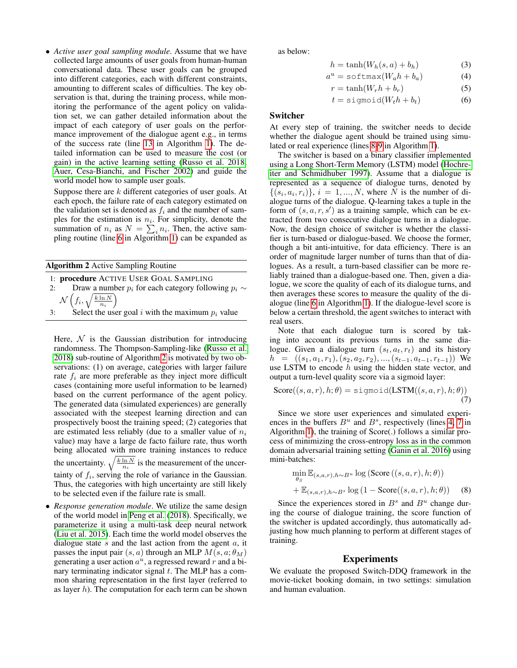• *Active user goal sampling module*. Assume that we have collected large amounts of user goals from human-human conversational data. These user goals can be grouped into different categories, each with different constraints, amounting to different scales of difficulties. The key observation is that, during the training process, while monitoring the performance of the agent policy on validation set, we can gather detailed information about the impact of each category of user goals on the performance improvement of the dialogue agent e.g., in terms of the success rate (line [13](#page-2-1) in Algorithm [1\)](#page-2-1). The detailed information can be used to measure the cost (or gain) in the active learning setting [\(Russo et al. 2018;](#page-7-18) [Auer, Cesa-Bianchi, and Fischer 2002\)](#page-7-19) and guide the world model how to sample user goals.

Suppose there are k different categories of user goals. At each epoch, the failure rate of each category estimated on the validation set is denoted as  $f_i$  and the number of samples for the estimation is  $n_i$ . For simplicity, denote the summation of  $n_i$  as  $N = \sum_i n_i$ . Then, the active sampling routine (line [6](#page-2-1) in Algorithm [1\)](#page-2-1) can be expanded as

<span id="page-3-0"></span>

| <b>Algorithm 2 Active Sampling Routine</b> |  |  |  |
|--------------------------------------------|--|--|--|
|                                            |  |  |  |

- 1: procedure ACTIVE USER GOAL SAMPLING
- 2: Draw a number  $p_i$  for each category following  $p_i \sim$  $\mathcal N$  $\left(f_i, \sqrt{\frac{k \ln N}{n_i}}\right)$
- 3: Select the user goal i with the maximum  $p_i$  value

Here,  $\mathcal N$  is the Gaussian distribution for introducing randomness. The Thompson-Sampling-like [\(Russo et al.](#page-7-18) [2018\)](#page-7-18) sub-routine of Algorithm [2](#page-3-0) is motivated by two observations: (1) on average, categories with larger failure rate  $f_i$  are more preferable as they inject more difficult cases (containing more useful information to be learned) based on the current performance of the agent policy. The generated data (simulated experiences) are generally associated with the steepest learning direction and can prospectively boost the training speed; (2) categories that are estimated less reliably (due to a smaller value of  $n_i$ ) value) may have a large de facto failure rate, thus worth being allocated with more training instances to reduce the uncertainty.  $\sqrt{\frac{k \ln N}{n_i}}$  is the measurement of the uncertainty of  $f_i$ , serving the role of variance in the Gaussian. Thus, the categories with high uncertainty are still likely to be selected even if the failure rate is small.

• *Response generation module*. We utilize the same design of the world model in [Peng et al.](#page-7-12) [\(2018\)](#page-7-12). Specifically, we parameterize it using a multi-task deep neural network [\(Liu et al. 2015\)](#page-7-20). Each time the world model observes the dialogue state  $s$  and the last action from the agent  $a$ , it passes the input pair  $(s, a)$  through an MLP  $M(s, a; \theta_M)$ generating a user action  $a^u$ , a regressed reward r and a binary terminating indicator signal  $t$ . The MLP has a common sharing representation in the first layer (referred to as layer  $h$ ). The computation for each term can be shown

as below:

$$
h = \tanh(W_h(s, a) + b_h) \tag{3}
$$

$$
a^u = \text{softmax}(W_a h + b_a) \tag{4}
$$

$$
r = \tanh(W_r h + b_r) \tag{5}
$$

$$
t = \text{sigmoid}(W_t h + b_t) \tag{6}
$$

#### Switcher

At every step of training, the switcher needs to decide whether the dialogue agent should be trained using simulated or real experience (lines [8-9](#page-2-1) in Algorithm [1\)](#page-2-1).

The switcher is based on a binary classifier implemented using a Long Short-Term Memory (LSTM) model [\(Hochre](#page-7-21)[iter and Schmidhuber 1997\)](#page-7-21). Assume that a dialogue is represented as a sequence of dialogue turns, denoted by  $\{(s_i, a_i, r_i)\}, i = 1, ..., N$ , where N is the number of dialogue turns of the dialogue. Q-learning takes a tuple in the form of  $(s, a, r, s')$  as a training sample, which can be extracted from two consecutive dialogue turns in a dialogue. Now, the design choice of switcher is whether the classifier is turn-based or dialogue-based. We choose the former, though a bit anti-intuitive, for data efficiency. There is an order of magnitude larger number of turns than that of dialogues. As a result, a turn-based classifier can be more reliably trained than a dialogue-based one. Then, given a dialogue, we score the quality of each of its dialogue turns, and then averages these scores to measure the quality of the dialogue (line [6](#page-2-1) in Algorithm [1\)](#page-2-1). If the dialogue-level score is below a certain threshold, the agent switches to interact with real users.

Note that each dialogue turn is scored by taking into account its previous turns in the same dialogue. Given a dialogue turn  $(s_t, a_t, r_t)$  and its history  $h = ((s_1, a_1, r_1), (s_2, a_2, r_2), ..., (s_{t-1}, a_{t-1}, r_{t-1}))$  We use LSTM to encode  $h$  using the hidden state vector, and output a turn-level quality score via a sigmoid layer:

$$
Score((s, a, r), h; \theta) = sigmoid(LSTM((s, a, r), h; \theta))
$$
\n(7)

Since we store user experiences and simulated experiences in the buffers  $B^u$  and  $B^s$ , respectively (lines [4, 7](#page-2-1) in Algorithm [1\)](#page-2-1), the training of Score(.) follows a similar process of minimizing the cross-entropy loss as in the common domain adversarial training setting [\(Ganin et al. 2016\)](#page-7-22) using mini-batches:

$$
\min_{\theta_S} \mathbb{E}_{(s,a,r),h \sim B^u} \log (\text{Score}((s,a,r), h; \theta))
$$
  
+ 
$$
\mathbb{E}_{(s,a,r),h \sim B^s} \log (1 - \text{Score}((s,a,r), h; \theta))
$$
 (8)

Since the experiences stored in  $B^s$  and  $B^u$  change during the course of dialogue training, the score function of the switcher is updated accordingly, thus automatically adjusting how much planning to perform at different stages of training.

## Experiments

We evaluate the proposed Switch-DDQ framework in the movie-ticket booking domain, in two settings: simulation and human evaluation.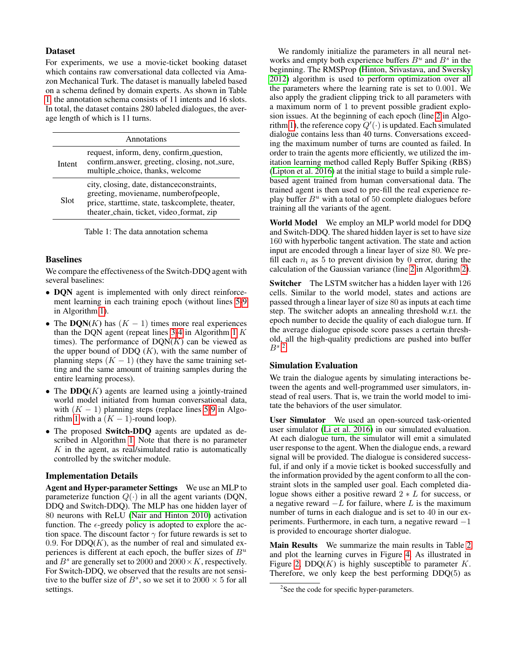## Dataset

For experiments, we use a movie-ticket booking dataset which contains raw conversational data collected via Amazon Mechanical Turk. The dataset is manually labeled based on a schema defined by domain experts. As shown in Table [1,](#page-4-0) the annotation schema consists of 11 intents and 16 slots. In total, the dataset contains 280 labeled dialogues, the average length of which is 11 turns.

<span id="page-4-0"></span>

| Annotations |                                                                                                                                                                                   |  |  |  |  |  |  |
|-------------|-----------------------------------------------------------------------------------------------------------------------------------------------------------------------------------|--|--|--|--|--|--|
| Intent      | request, inform, deny, confirm question,<br>confirm_answer, greeting, closing, not_sure,<br>multiple_choice, thanks, welcome                                                      |  |  |  |  |  |  |
| Slot        | city, closing, date, distance constraints,<br>greeting, moviename, numberofpeople,<br>price, starttime, state, taskcomplete, theater,<br>theater_chain, ticket, video_format, zip |  |  |  |  |  |  |

Table 1: The data annotation schema

## Baselines

We compare the effectiveness of the Switch-DDQ agent with several baselines:

- DQN agent is implemented with only direct reinforcement learning in each training epoch (without lines [5-9](#page-2-1) in Algorithm [1\)](#page-2-1).
- The  $DQN(K)$  has  $(K 1)$  times more real experiences than the DQN agent (repeat lines  $3-4$  in Algorithm [1](#page-2-1) K times). The performance of  $DQN(K)$  can be viewed as the upper bound of DDQ  $(K)$ , with the same number of planning steps  $(K - 1)$  (they have the same training setting and the same amount of training samples during the entire learning process).
- The  $DDQ(K)$  agents are learned using a jointly-trained world model initiated from human conversational data, with  $(K - 1)$  planning steps (replace lines [5-9](#page-2-1) in Algo-rithm [1](#page-2-1) with a  $(K - 1)$ -round loop).
- The proposed Switch-DDQ agents are updated as described in Algorithm [1.](#page-2-1) Note that there is no parameter  $K$  in the agent, as real/simulated ratio is automatically controlled by the switcher module.

## Implementation Details

Agent and Hyper-parameter Settings We use an MLP to parameterize function  $Q(\cdot)$  in all the agent variants (DQN, DDQ and Switch-DDQ). The MLP has one hidden layer of 80 neurons with ReLU [\(Nair and Hinton 2010\)](#page-7-23) activation function. The  $\epsilon$ -greedy policy is adopted to explore the action space. The discount factor  $\gamma$  for future rewards is set to 0.9. For  $DDQ(K)$ , as the number of real and simulated experiences is different at each epoch, the buffer sizes of  $B^u$ and  $B^s$  are generally set to 2000 and 2000 × K, respectively. For Switch-DDQ, we observed that the results are not sensitive to the buffer size of  $B^s$ , so we set it to  $2000 \times 5$  for all settings.

We randomly initialize the parameters in all neural networks and empty both experience buffers  $B^u$  and  $B^s$  in the beginning. The RMSProp [\(Hinton, Srivastava, and Swersky](#page-7-24) [2012\)](#page-7-24) algorithm is used to perform optimization over all the parameters where the learning rate is set to 0.001. We also apply the gradient clipping trick to all parameters with a maximum norm of 1 to prevent possible gradient explosion issues. At the beginning of each epoch (line [2](#page-2-1) in Algo-rithm [1\)](#page-2-1), the reference copy  $Q'(\cdot)$  is updated. Each simulated dialogue contains less than 40 turns. Conversations exceeding the maximum number of turns are counted as failed. In order to train the agents more efficiently, we utilized the imitation learning method called Reply Buffer Spiking (RBS) [\(Lipton et al. 2016\)](#page-7-9) at the initial stage to build a simple rulebased agent trained from human conversational data. The trained agent is then used to pre-fill the real experience replay buffer  $B^u$  with a total of 50 complete dialogues before training all the variants of the agent.

World Model We employ an MLP world model for DDQ and Switch-DDQ. The shared hidden layer is set to have size 160 with hyperbolic tangent activation. The state and action input are encoded through a linear layer of size 80. We prefill each  $n_i$  as 5 to prevent division by 0 error, during the calculation of the Gaussian variance (line [2](#page-3-0) in Algorithm [2\)](#page-3-0).

Switcher The LSTM switcher has a hidden layer with 126 cells. Similar to the world model, states and actions are passed through a linear layer of size 80 as inputs at each time step. The switcher adopts an annealing threshold w.r.t. the epoch number to decide the quality of each dialogue turn. If the average dialogue episode score passes a certain threshold, all the high-quality predictions are pushed into buffer  $B^s$ <sup>[2](#page-4-1)</sup>

# Simulation Evaluation

We train the dialogue agents by simulating interactions between the agents and well-programmed user simulators, instead of real users. That is, we train the world model to imitate the behaviors of the user simulator.

User Simulator We used an open-sourced task-oriented user simulator [\(Li et al. 2016\)](#page-7-6) in our simulated evaluation. At each dialogue turn, the simulator will emit a simulated user response to the agent. When the dialogue ends, a reward signal will be provided. The dialogue is considered successful, if and only if a movie ticket is booked successfully and the information provided by the agent conform to all the constraint slots in the sampled user goal. Each completed dialogue shows either a positive reward  $2 * L$  for success, or a negative reward  $-L$  for failure, where L is the maximum number of turns in each dialogue and is set to 40 in our experiments. Furthermore, in each turn, a negative reward −1 is provided to encourage shorter dialogue.

Main Results We summarize the main results in Table [2](#page-5-0) and plot the learning curves in Figure [4.](#page-5-1) As illustrated in Figure [2,](#page-1-1)  $DDQ(K)$  is highly susceptible to parameter K. Therefore, we only keep the best performing  $DDQ(5)$  as

<span id="page-4-1"></span><sup>&</sup>lt;sup>2</sup>See the code for specific hyper-parameters.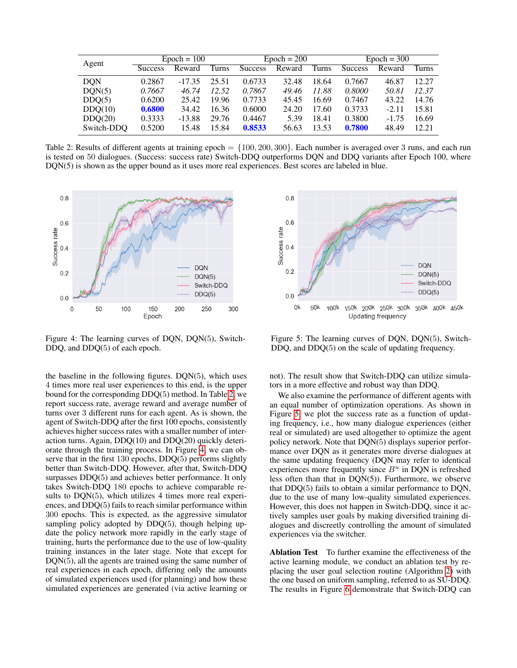<span id="page-5-0"></span>

| Agent      | $Epoch = 100$  |          |       | $Epoch = 200$  |        |       | $Epoch = 300$  |         |       |
|------------|----------------|----------|-------|----------------|--------|-------|----------------|---------|-------|
|            | <b>Success</b> | Reward   | Turns | <b>Success</b> | Reward | Turns | <b>Success</b> | Reward  | Turns |
| <b>DON</b> | 0.2867         | $-17.35$ | 25.51 | 0.6733         | 32.48  | 18.64 | 0.7667         | 46.87   | 12.27 |
| DON(5)     | 0.7667         | 46.74    | 12.52 | 0.7867         | 49.46  | 11.88 | 0.8000         | 50.81   | 12.37 |
| DDO(5)     | 0.6200         | 25.42    | 19.96 | 0.7733         | 45.45  | 16.69 | 0.7467         | 43.22   | 14.76 |
| DDO(10)    | 0.6800         | 34.42    | 16.36 | 0.6000         | 24.20  | 17.60 | 0.3733         | $-2.11$ | 15.81 |
| DDO(20)    | 0.3333         | $-13.88$ | 29.76 | 0.4467         | 5.39   | 18.41 | 0.3800         | $-1.75$ | 16.69 |
| Switch-DDO | 0.5200         | 15.48    | 15.84 | 0.8533         | 56.63  | 13.53 | 0.7800         | 48.49   | 12.21 |

Table 2: Results of different agents at training epoch = {100, 200, 300}. Each number is averaged over 3 runs, and each run is tested on 50 dialogues. (Success: success rate) Switch-DDQ outperforms DQN and DDQ variants after Epoch 100, where DQN(5) is shown as the upper bound as it uses more real experiences. Best scores are labeled in blue.

<span id="page-5-1"></span>

Figure 4: The learning curves of DQN, DQN(5), Switch-DDQ, and DDQ(5) of each epoch.

the baseline in the following figures. DQN(5), which uses 4 times more real user experiences to this end, is the upper bound for the corresponding DDQ(5) method. In Table [2,](#page-5-0) we report success rate, average reward and average number of turns over 3 different runs for each agent. As is shown, the agent of Switch-DDQ after the first 100 epochs, consistently achieves higher success rates with a smaller number of interaction turns. Again, DDQ(10) and DDQ(20) quickly deteriorate through the training process. In Figure [4,](#page-5-1) we can observe that in the first 130 epochs, DDQ(5) performs slightly better than Switch-DDQ. However, after that, Switch-DDQ surpasses DDQ(5) and achieves better performance. It only takes Switch-DDQ 180 epochs to achieve comparable results to DQN(5), which utilizes 4 times more real experiences, and DDQ(5) fails to reach similar performance within 300 epochs. This is expected, as the aggressive simulator sampling policy adopted by DDQ(5), though helping update the policy network more rapidly in the early stage of training, hurts the performance due to the use of low-quality training instances in the later stage. Note that except for DQN(5), all the agents are trained using the same number of real experiences in each epoch, differing only the amounts of simulated experiences used (for planning) and how these simulated experiences are generated (via active learning or



Figure 5: The learning curves of DQN, DQN(5), Switch-DDQ, and DDQ(5) on the scale of updating frequency.

not). The result show that Switch-DDQ can utilize simulators in a more effective and robust way than DDQ.

We also examine the performance of different agents with an equal number of optimization operations. As shown in Figure [5,](#page-5-1) we plot the success rate as a function of updating frequency, i.e., how many dialogue experiences (either real or simulated) are used altogether to optimize the agent policy network. Note that DQN(5) displays superior performance over DQN as it generates more diverse dialogues at the same updating frequency (DQN may refer to identical experiences more frequently since  $B<sup>u</sup>$  in DQN is refreshed less often than that in DQN(5)). Furthermore, we observe that DDQ(5) fails to obtain a similar performance to DQN, due to the use of many low-quality simulated experiences. However, this does not happen in Switch-DDQ, since it actively samples user goals by making diversified training dialogues and discreetly controlling the amount of simulated experiences via the switcher.

Ablation Test To further examine the effectiveness of the active learning module, we conduct an ablation test by replacing the user goal selection routine (Algorithm [2\)](#page-3-0) with the one based on uniform sampling, referred to as SU-DDQ. The results in Figure [6](#page-6-0) demonstrate that Switch-DDQ can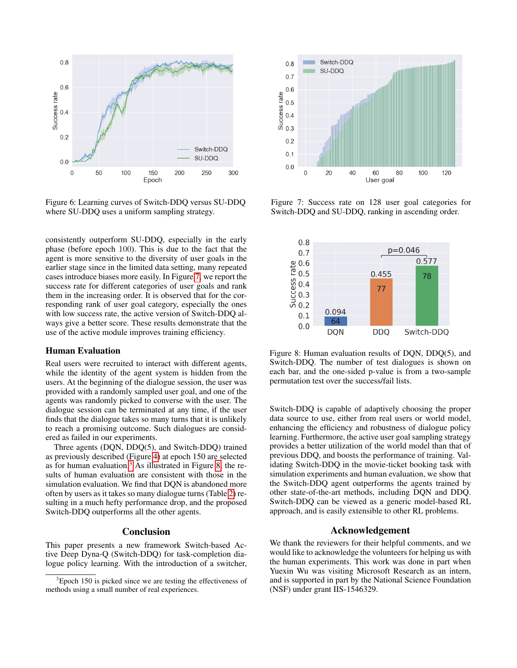<span id="page-6-0"></span>

Figure 6: Learning curves of Switch-DDQ versus SU-DDQ where SU-DDQ uses a uniform sampling strategy.

consistently outperform SU-DDQ, especially in the early phase (before epoch 100). This is due to the fact that the agent is more sensitive to the diversity of user goals in the earlier stage since in the limited data setting, many repeated cases introduce biases more easily. In Figure [7,](#page-6-0) we report the success rate for different categories of user goals and rank them in the increasing order. It is observed that for the corresponding rank of user goal category, especially the ones with low success rate, the active version of Switch-DDQ always give a better score. These results demonstrate that the use of the active module improves training efficiency.

### Human Evaluation

Real users were recruited to interact with different agents, while the identity of the agent system is hidden from the users. At the beginning of the dialogue session, the user was provided with a randomly sampled user goal, and one of the agents was randomly picked to converse with the user. The dialogue session can be terminated at any time, if the user finds that the dialogue takes so many turns that it is unlikely to reach a promising outcome. Such dialogues are considered as failed in our experiments.

Three agents (DQN, DDQ(5), and Switch-DDQ) trained as previously described (Figure [4\)](#page-5-1) at epoch 150 are selected as for human evaluation.<sup>[3](#page-6-1)</sup> As illustrated in Figure [8,](#page-6-2) the results of human evaluation are consistent with those in the simulation evaluation. We find that DQN is abandoned more often by users as it takes so many dialogue turns (Table [2\)](#page-5-0) resulting in a much hefty performance drop, and the proposed Switch-DDQ outperforms all the other agents.

#### Conclusion

This paper presents a new framework Switch-based Active Deep Dyna-Q (Switch-DDQ) for task-completion dialogue policy learning. With the introduction of a switcher,



Figure 7: Success rate on 128 user goal categories for Switch-DDQ and SU-DDQ, ranking in ascending order.

<span id="page-6-2"></span>

Figure 8: Human evaluation results of DQN, DDQ(5), and Switch-DDQ. The number of test dialogues is shown on each bar, and the one-sided p-value is from a two-sample permutation test over the success/fail lists.

Switch-DDQ is capable of adaptively choosing the proper data source to use, either from real users or world model, enhancing the efficiency and robustness of dialogue policy learning. Furthermore, the active user goal sampling strategy provides a better utilization of the world model than that of previous DDQ, and boosts the performance of training. Validating Switch-DDQ in the movie-ticket booking task with simulation experiments and human evaluation, we show that the Switch-DDQ agent outperforms the agents trained by other state-of-the-art methods, including DQN and DDQ. Switch-DDQ can be viewed as a generic model-based RL approach, and is easily extensible to other RL problems.

# Acknowledgement

We thank the reviewers for their helpful comments, and we would like to acknowledge the volunteers for helping us with the human experiments. This work was done in part when Yuexin Wu was visiting Microsoft Research as an intern, and is supported in part by the National Science Foundation (NSF) under grant IIS-1546329.

<span id="page-6-1"></span><sup>&</sup>lt;sup>3</sup>Epoch 150 is picked since we are testing the effectiveness of methods using a small number of real experiences.